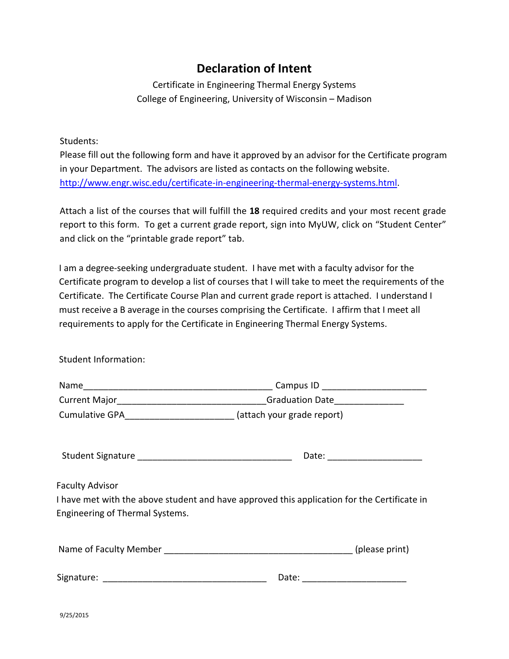## **Declaration of Intent**

Certificate in Engineering Thermal Energy Systems College of Engineering, University of Wisconsin – Madison

Students:

Please fill out the following form and have it approved by an advisor for the Certificate program in your Department. The advisors are listed as contacts on the following website. [http://www.engr.wisc.edu/certificate-in-engineering-thermal-energy-systems.html.](http://www.engr.wisc.edu/certificate-in-engineering-thermal-energy-systems.html)

Attach a list of the courses that will fulfill the **18** required credits and your most recent grade report to this form. To get a current grade report, sign into MyUW, click on "Student Center" and click on the "printable grade report" tab.

I am a degree-seeking undergraduate student. I have met with a faculty advisor for the Certificate program to develop a list of courses that I will take to meet the requirements of the Certificate. The Certificate Course Plan and current grade report is attached. I understand I must receive a B average in the courses comprising the Certificate. I affirm that I meet all requirements to apply for the Certificate in Engineering Thermal Energy Systems.

Student Information:

|                                                                       | Campus ID _____________________________                                                     |  |  |  |
|-----------------------------------------------------------------------|---------------------------------------------------------------------------------------------|--|--|--|
|                                                                       | Current Major_________________________________Graduation Date___________________            |  |  |  |
| Cumulative GPA____________________________ (attach your grade report) |                                                                                             |  |  |  |
|                                                                       |                                                                                             |  |  |  |
| <b>Faculty Advisor</b><br><b>Engineering of Thermal Systems.</b>      | I have met with the above student and have approved this application for the Certificate in |  |  |  |
|                                                                       |                                                                                             |  |  |  |
|                                                                       | Date: _____________________                                                                 |  |  |  |